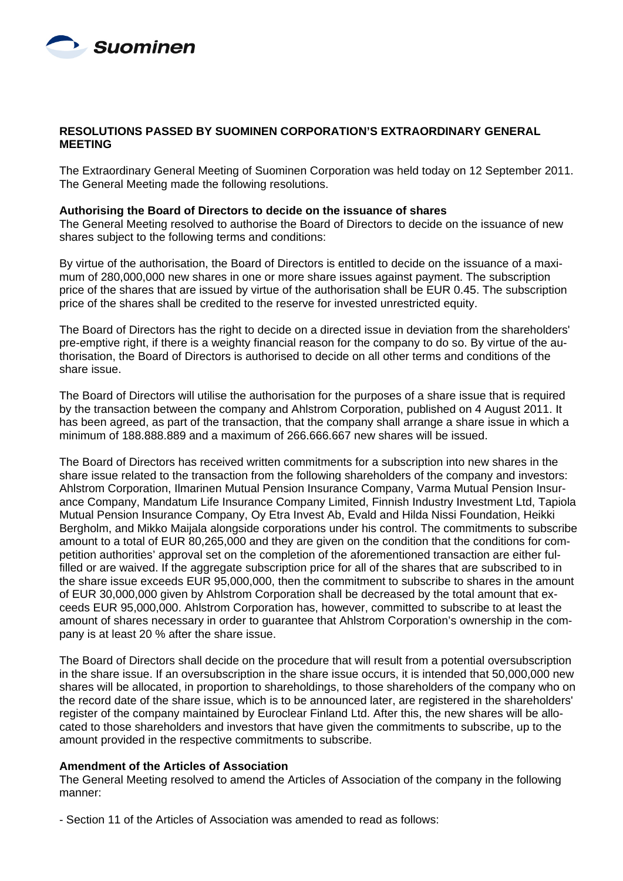

# **RESOLUTIONS PASSED BY SUOMINEN CORPORATION'S EXTRAORDINARY GENERAL MEETING**

The Extraordinary General Meeting of Suominen Corporation was held today on 12 September 2011. The General Meeting made the following resolutions.

#### **Authorising the Board of Directors to decide on the issuance of shares**

The General Meeting resolved to authorise the Board of Directors to decide on the issuance of new shares subject to the following terms and conditions:

By virtue of the authorisation, the Board of Directors is entitled to decide on the issuance of a maximum of 280,000,000 new shares in one or more share issues against payment. The subscription price of the shares that are issued by virtue of the authorisation shall be EUR 0.45. The subscription price of the shares shall be credited to the reserve for invested unrestricted equity.

The Board of Directors has the right to decide on a directed issue in deviation from the shareholders' pre-emptive right, if there is a weighty financial reason for the company to do so. By virtue of the authorisation, the Board of Directors is authorised to decide on all other terms and conditions of the share issue.

The Board of Directors will utilise the authorisation for the purposes of a share issue that is required by the transaction between the company and Ahlstrom Corporation, published on 4 August 2011. It has been agreed, as part of the transaction, that the company shall arrange a share issue in which a minimum of 188.888.889 and a maximum of 266.666.667 new shares will be issued.

The Board of Directors has received written commitments for a subscription into new shares in the share issue related to the transaction from the following shareholders of the company and investors: Ahlstrom Corporation, Ilmarinen Mutual Pension Insurance Company, Varma Mutual Pension Insurance Company, Mandatum Life Insurance Company Limited, Finnish Industry Investment Ltd, Tapiola Mutual Pension Insurance Company, Oy Etra Invest Ab, Evald and Hilda Nissi Foundation, Heikki Bergholm, and Mikko Maijala alongside corporations under his control. The commitments to subscribe amount to a total of EUR 80,265,000 and they are given on the condition that the conditions for competition authorities' approval set on the completion of the aforementioned transaction are either fulfilled or are waived. If the aggregate subscription price for all of the shares that are subscribed to in the share issue exceeds EUR 95,000,000, then the commitment to subscribe to shares in the amount of EUR 30,000,000 given by Ahlstrom Corporation shall be decreased by the total amount that exceeds EUR 95,000,000. Ahlstrom Corporation has, however, committed to subscribe to at least the amount of shares necessary in order to guarantee that Ahlstrom Corporation's ownership in the company is at least 20 % after the share issue.

The Board of Directors shall decide on the procedure that will result from a potential oversubscription in the share issue. If an oversubscription in the share issue occurs, it is intended that 50,000,000 new shares will be allocated, in proportion to shareholdings, to those shareholders of the company who on the record date of the share issue, which is to be announced later, are registered in the shareholders' register of the company maintained by Euroclear Finland Ltd. After this, the new shares will be allocated to those shareholders and investors that have given the commitments to subscribe, up to the amount provided in the respective commitments to subscribe.

#### **Amendment of the Articles of Association**

The General Meeting resolved to amend the Articles of Association of the company in the following manner:

- Section 11 of the Articles of Association was amended to read as follows: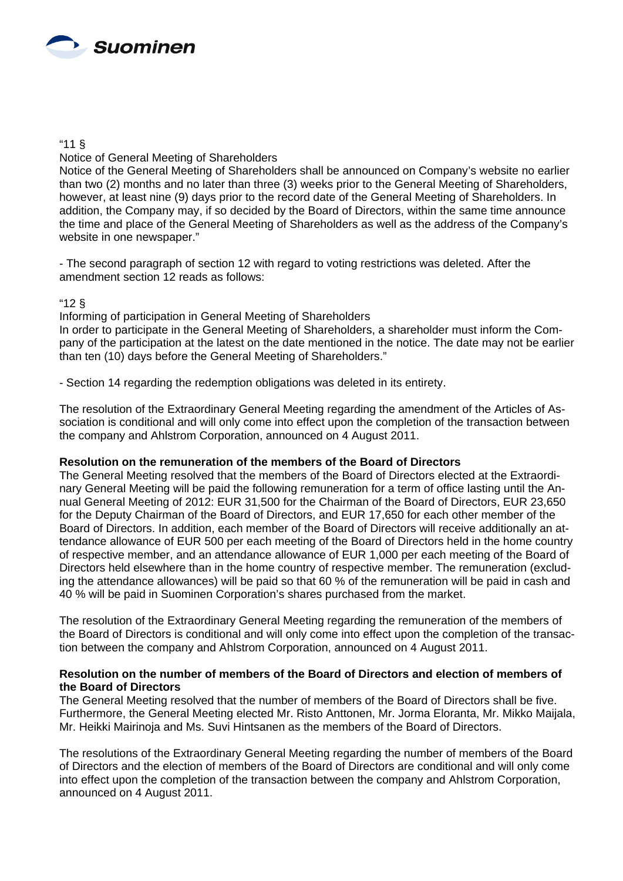

### "11 §

# Notice of General Meeting of Shareholders

Notice of the General Meeting of Shareholders shall be announced on Company's website no earlier than two (2) months and no later than three (3) weeks prior to the General Meeting of Shareholders, however, at least nine (9) days prior to the record date of the General Meeting of Shareholders. In addition, the Company may, if so decided by the Board of Directors, within the same time announce the time and place of the General Meeting of Shareholders as well as the address of the Company's website in one newspaper."

- The second paragraph of section 12 with regard to voting restrictions was deleted. After the amendment section 12 reads as follows:

# "12 §

Informing of participation in General Meeting of Shareholders

In order to participate in the General Meeting of Shareholders, a shareholder must inform the Company of the participation at the latest on the date mentioned in the notice. The date may not be earlier than ten (10) days before the General Meeting of Shareholders."

- Section 14 regarding the redemption obligations was deleted in its entirety.

The resolution of the Extraordinary General Meeting regarding the amendment of the Articles of Association is conditional and will only come into effect upon the completion of the transaction between the company and Ahlstrom Corporation, announced on 4 August 2011.

#### **Resolution on the remuneration of the members of the Board of Directors**

The General Meeting resolved that the members of the Board of Directors elected at the Extraordinary General Meeting will be paid the following remuneration for a term of office lasting until the Annual General Meeting of 2012: EUR 31,500 for the Chairman of the Board of Directors, EUR 23,650 for the Deputy Chairman of the Board of Directors, and EUR 17,650 for each other member of the Board of Directors. In addition, each member of the Board of Directors will receive additionally an attendance allowance of EUR 500 per each meeting of the Board of Directors held in the home country of respective member, and an attendance allowance of EUR 1,000 per each meeting of the Board of Directors held elsewhere than in the home country of respective member. The remuneration (excluding the attendance allowances) will be paid so that 60 % of the remuneration will be paid in cash and 40 % will be paid in Suominen Corporation's shares purchased from the market.

The resolution of the Extraordinary General Meeting regarding the remuneration of the members of the Board of Directors is conditional and will only come into effect upon the completion of the transaction between the company and Ahlstrom Corporation, announced on 4 August 2011.

# **Resolution on the number of members of the Board of Directors and election of members of the Board of Directors**

The General Meeting resolved that the number of members of the Board of Directors shall be five. Furthermore, the General Meeting elected Mr. Risto Anttonen, Mr. Jorma Eloranta, Mr. Mikko Maijala, Mr. Heikki Mairinoja and Ms. Suvi Hintsanen as the members of the Board of Directors.

The resolutions of the Extraordinary General Meeting regarding the number of members of the Board of Directors and the election of members of the Board of Directors are conditional and will only come into effect upon the completion of the transaction between the company and Ahlstrom Corporation, announced on 4 August 2011.